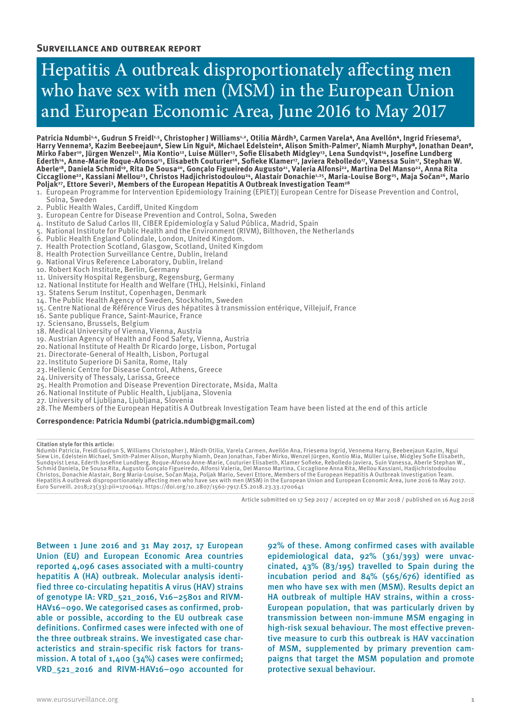# Hepatitis A outbreak disproportionately affecting men who have sex with men (MSM) in the European Union and European Economic Area, June 2016 to May 2017

Patricia Ndumbi½, Gudrun S Freidl½, Christopher J Williams½, Otilia Mårdh¾, Carmen Varela4, Ana Avellón4, Ingrid Friesema½, **Harry Vennema⁵, Kazim Beebeejaun⁶, Siew Lin Ngui⁶, Michael Edelstein⁶, Alison Smith-Palmer⁷, Niamh Murphy⁸, Jonathan Dean⁹, Mirko Faber10, Jürgen Wenzel11, Mia Kontio12, Luise Müller13, Sofie Elisabeth Midgley13, Lena Sundqvist14, Josefine Lundberg**  Ederth14, Anne-Marie Roque-Afonso15, Elisabeth Couturier<sup>16</sup>, Sofieke Klamer<sup>17</sup>, Javiera Rebolledo<sup>17</sup>, Vanessa Suin<sup>17</sup>, Stephan W. Aberle<sup>18</sup>, Daniela Schmid<sup>19</sup>, Rita De Sousa<sup>20</sup>, Gonçalo Figueiredo Augusto<sup>21</sup>, Valeria Alfonsi<sup>22</sup>, Martina Del Manso<sup>22</sup>, Anna Rita Ciccaglione<sup>22</sup>, Kassiani Mellou<sup>23</sup>, Christos Hadjichristodoulou<sup>24</sup>, Alastair Donachie½5, Maria-Louise Borg<sup>25</sup>, Maja Sočan<sup>26</sup>, Mario **Poljak27, Ettore Severi3, Members of the European Hepatitis A Outbreak Investigation Team28**

- 1. European Programme for Intervention Epidemiology Training (EPIET)| European Centre for Disease Prevention and Control,
- Solna, Sweden
- 2. Public Health Wales, Cardiff, United Kingdom
- 3. European Centre for Disease Prevention and Control, Solna, Sweden
- 4. Instituto de Salud Carlos III, CIBER Epidemiología y Salud Pública, Madrid, Spain
- 5. National Institute for Public Health and the Environment (RIVM), Bilthoven, the Netherlands
- 6. Public Health England Colindale, London, United Kingdom.
- 7. Health Protection Scotland, Glasgow, Scotland, United Kingdom
- 8. Health Protection Surveillance Centre, Dublin, Ireland
- 9. National Virus Reference Laboratory, Dublin, Ireland
- 10. Robert Koch Institute, Berlin, Germany
- 11. University Hospital Regensburg, Regensburg, Germany
- 12. National Institute for Health and Welfare (THL), Helsinki, Finland
- 13. Statens Serum Institut, Copenhagen, Denmark
- 14. The Public Health Agency of Sweden, Stockholm, Sweden
- 15. Centre National de Référence Virus des hépatites à transmission entérique, Villejuif, France
- 16. Sante publique France, Saint-Maurice, France
- 17. Sciensano, Brussels, Belgium
- 18. Medical University of Vienna, Vienna, Austria
- 19. Austrian Agency of Health and Food Safety, Vienna, Austria
- 20.National Institute of Health Dr Ricardo Jorge, Lisbon, Portugal
- 21. Directorate-General of Health, Lisbon, Portugal
- 22. Instituto Superiore Di Sanita, Rome, Italy
- 23. Hellenic Centre for Disease Control, Athens, Greece
- 24.University of Thessaly, Larissa, Greece
- 25. Health Promotion and Disease Prevention Directorate, Msida, Malta
- 26.National Institute of Public Health, Ljubljana, Slovenia
- 27. University of Ljubljana, Ljubljana, Slovenia

28. The Members of the European Hepatitis A Outbreak Investigation Team have been listed at the end of this article

#### **Correspondence: Patricia Ndumbi (patricia.ndumbi@gmail.com)**

**Citation style for this article:**<br>Neumbi Patricia, Freidl Gudrum S, Williams Christopher J, Mårdh Otilia, Varela Carmen, Avellón Ana, Friesema Ingrid, Vennema Harry, Beebeejaun Kazim, Ngui<br>Siew Lin, Edelstein Michael, Smi Hepatitis A outbreak disproportionately affecting men who have sex with men (MSM) in the European Union and European Economic Area, June 2016 to May 2017.<br>Euro Surveill. 2018;23(33):pii=1700641. https://doi.org/10.2807/156

Article submitted on 17 Sep 2017 / accepted on 07 Mar 2018 / published on 16 Aug 2018

Between 1 June 2016 and 31 May 2017, 17 European Union (EU) and European Economic Area countries reported 4,096 cases associated with a multi-country hepatitis A (HA) outbreak. Molecular analysis identified three co-circulating hepatitis A virus (HAV) strains of genotype IA: VRD\_521\_2016, V16–25801 and RIVM-HAV16–090. We categorised cases as confirmed, probable or possible, according to the EU outbreak case definitions. Confirmed cases were infected with one of the three outbreak strains. We investigated case characteristics and strain-specific risk factors for transmission. A total of 1,400 (34%) cases were confirmed; VRD\_521\_2016 and RIVM-HAV16–090 accounted for 92% of these. Among confirmed cases with available epidemiological data, 92% (361/393) were unvaccinated, 43% (83/195) travelled to Spain during the incubation period and 84% (565/676) identified as men who have sex with men (MSM). Results depict an HA outbreak of multiple HAV strains, within a cross-European population, that was particularly driven by transmission between non-immune MSM engaging in high-risk sexual behaviour. The most effective preventive measure to curb this outbreak is HAV vaccination of MSM, supplemented by primary prevention campaigns that target the MSM population and promote protective sexual behaviour.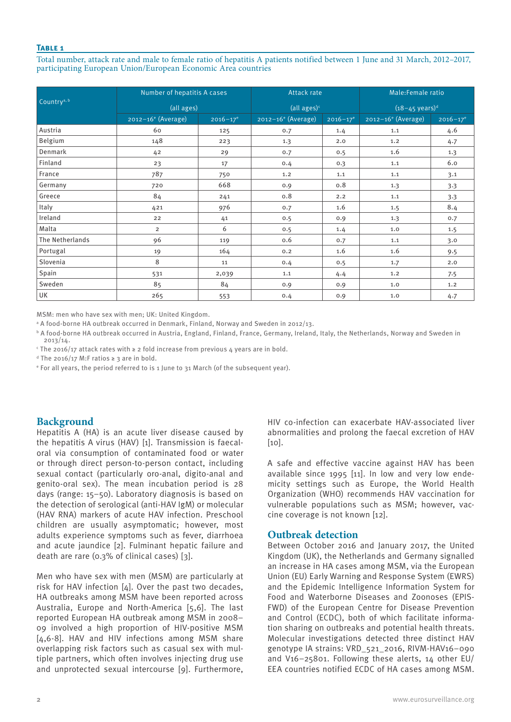# **Table 1**

Total number, attack rate and male to female ratio of hepatitis A patients notified between 1 June and 31 March, 2012–2017, participating European Union/European Economic Area countries

|                         | Number of hepatitis A cases    |               | <b>Attack rate</b>             |                                                                                                                                                                                                                                       | Male:Female ratio           |     |  |  |
|-------------------------|--------------------------------|---------------|--------------------------------|---------------------------------------------------------------------------------------------------------------------------------------------------------------------------------------------------------------------------------------|-----------------------------|-----|--|--|
| Country <sup>a, b</sup> | (all ages)                     |               | (all ages) $c$                 |                                                                                                                                                                                                                                       | $(18 - 45 \text{ years})^d$ |     |  |  |
|                         | 2012-16 <sup>e</sup> (Average) | $2016 - 17^e$ | 2012-16 <sup>e</sup> (Average) | 2012-16 <sup>e</sup> (Average)<br>$2016 - 17^e$<br>1.4<br>1.1<br>2.0<br>1.2<br>1.6<br>0.5<br>1.1<br>0.3<br>1.1<br>1.1<br>0.8<br>1.3<br>1.1<br>2.2<br>1.6<br>1.5<br>0.9<br>1.3<br>1.0<br>1.4<br>0.7<br>1.1<br>1.6<br>1.6<br>0.5<br>1.7 | $2016 - 17^e$               |     |  |  |
| Austria                 | 60                             | 125           | 0.7                            |                                                                                                                                                                                                                                       |                             | 4.6 |  |  |
| Belgium                 | 148                            | 223           | 1.3                            |                                                                                                                                                                                                                                       |                             | 4.7 |  |  |
| Denmark                 | 42                             | 29            | 0.7                            |                                                                                                                                                                                                                                       |                             | 1.3 |  |  |
| Finland                 | 23                             | 17            | 0.4                            |                                                                                                                                                                                                                                       |                             | 6.0 |  |  |
| France                  | 787                            | 750           | 1.2                            |                                                                                                                                                                                                                                       |                             | 3.1 |  |  |
| Germany                 | 720                            | 668           | 0.9                            |                                                                                                                                                                                                                                       |                             | 3.3 |  |  |
| Greece                  | 84                             | 241           | 0.8                            |                                                                                                                                                                                                                                       |                             | 3.3 |  |  |
| Italy                   | 421                            | 976           | 0.7                            |                                                                                                                                                                                                                                       |                             | 8.4 |  |  |
| Ireland                 | 22                             | 41            | 0.5                            |                                                                                                                                                                                                                                       |                             | 0.7 |  |  |
| Malta                   | $\overline{2}$                 | 6             | 0.5                            |                                                                                                                                                                                                                                       |                             | 1.5 |  |  |
| The Netherlands         | 96                             | 119           | 0.6                            |                                                                                                                                                                                                                                       |                             | 3.0 |  |  |
| Portugal                | 19                             | 164           | 0.2                            |                                                                                                                                                                                                                                       |                             | 9.5 |  |  |
| Slovenia                | 8                              | 11            | 0.4                            |                                                                                                                                                                                                                                       |                             | 2.0 |  |  |
| Spain                   | 531                            | 2,039         | 1.1                            | 4.4                                                                                                                                                                                                                                   | 1,2                         | 7.5 |  |  |
| Sweden                  | 85                             | 84            | 0.9                            | 0.9                                                                                                                                                                                                                                   | 1.0                         | 1.2 |  |  |
| UK                      | 265                            | 553           | 0.4                            | 0.9                                                                                                                                                                                                                                   | 1.0                         | 4.7 |  |  |

MSM: men who have sex with men; UK: United Kingdom.

a A food-borne HA outbreak occurred in Denmark, Finland, Norway and Sweden in 2012/13.

b A food-borne HA outbreak occurred in Austria, England, Finland, France, Germany, Ireland, Italy, the Netherlands, Norway and Sweden in  $2013/14.$ 

 $^{\mathsf{c}}$  The 2016/17 attack rates with ≥ 2 fold increase from previous 4 years are in bold.

d The 2016/17 M:F ratios ≥ 3 are in bold.

e For all years, the period referred to is 1 June to 31 March (of the subsequent year).

# **Background**

Hepatitis A (HA) is an acute liver disease caused by the hepatitis A virus (HAV) [1]. Transmission is faecaloral via consumption of contaminated food or water or through direct person-to-person contact, including sexual contact (particularly oro-anal, digito-anal and genito-oral sex). The mean incubation period is 28 days (range: 15–50). Laboratory diagnosis is based on the detection of serological (anti-HAV IgM) or molecular (HAV RNA) markers of acute HAV infection. Preschool children are usually asymptomatic; however, most adults experience symptoms such as fever, diarrhoea and acute jaundice [2]. Fulminant hepatic failure and death are rare (0.3% of clinical cases) [3].

Men who have sex with men (MSM) are particularly at risk for HAV infection  $[4]$ . Over the past two decades, HA outbreaks among MSM have been reported across Australia, Europe and North-America [5,6]. The last reported European HA outbreak among MSM in 2008– 09 involved a high proportion of HIV-positive MSM [4,6-8]. HAV and HIV infections among MSM share overlapping risk factors such as casual sex with multiple partners, which often involves injecting drug use and unprotected sexual intercourse [9]. Furthermore, HIV co-infection can exacerbate HAV-associated liver abnormalities and prolong the faecal excretion of HAV  $[10]$ .

A safe and effective vaccine against HAV has been available since 1995 [11]. In low and very low endemicity settings such as Europe, the World Health Organization (WHO) recommends HAV vaccination for vulnerable populations such as MSM; however, vaccine coverage is not known [12].

# **Outbreak detection**

Between October 2016 and January 2017, the United Kingdom (UK), the Netherlands and Germany signalled an increase in HA cases among MSM, via the European Union (EU) Early Warning and Response System (EWRS) and the Epidemic Intelligence Information System for Food and Waterborne Diseases and Zoonoses (EPIS-FWD) of the European Centre for Disease Prevention and Control (ECDC), both of which facilitate information sharing on outbreaks and potential health threats. Molecular investigations detected three distinct HAV genotype IA strains: VRD\_521\_2016, RIVM-HAV16–090 and V16–25801. Following these alerts, 14 other EU/ EEA countries notified ECDC of HA cases among MSM.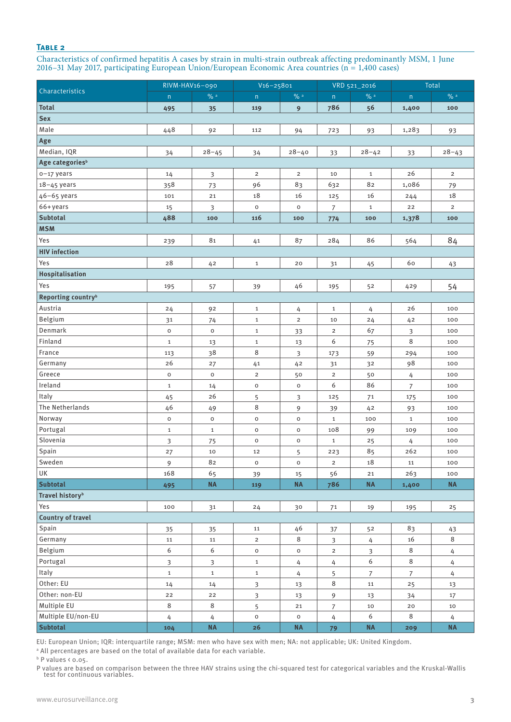# **Table 2**

Characteristics of confirmed hepatitis A cases by strain in multi-strain outbreak affecting predominantly MSM, 1 June 2016–31 May 2017, participating European Union/European Economic Area countries (n = 1,400 cases)

|                                | RIVM-HAV16-090      |                  | $V16 - 25801$       |                         |                | VRD 521_2016   | Total          |                |  |
|--------------------------------|---------------------|------------------|---------------------|-------------------------|----------------|----------------|----------------|----------------|--|
| Characteristics                | n                   | $\%$ a           | n                   | % a                     | n              | % a            | n              | % a            |  |
| <b>Total</b>                   | 495                 | 35               | 119                 | 9                       | 786            | 56             | 1,400          | 100            |  |
| <b>Sex</b>                     |                     |                  |                     |                         |                |                |                |                |  |
| Male                           | 448                 | 92               | 112                 | 94                      | 723            | 93             | 1,283          | 93             |  |
| Age                            |                     |                  |                     |                         |                |                |                |                |  |
| Median, IQR                    | 34                  | $28 - 45$        | 34                  | $28 - 40$               | 33             | $28 - 42$      | 33             | $28 - 43$      |  |
| Age categories <sup>b</sup>    |                     |                  |                     |                         |                |                |                |                |  |
| $0 - 17$ years                 | 14                  | $\mathbf{3}$     | $\overline{2}$      | $\overline{2}$          | 10             | $\mathbf{1}$   | 26             | $\overline{2}$ |  |
| $18 - 45$ years                | 358                 | 73               | 96                  | 83                      | 632            | 82             | 1,086          | 79             |  |
| $46 - 65$ years                | 101                 | 21               | 18                  | $16\,$                  | 125            | 16             | 244            | 18             |  |
| 66+years                       | 15                  | 3                | $\mathsf{o}\xspace$ | $\mathsf{o}\xspace$     | $\overline{7}$ | $\mathbf 1$    | 22             | $\overline{a}$ |  |
| Subtotal                       | 488                 | 100              | 116                 | 100                     | 774            | 100            | 1,378          | 100            |  |
| <b>MSM</b>                     |                     |                  |                     |                         |                |                |                |                |  |
| Yes                            | 239                 | 81               | 41                  | 87                      | 284            | 86             | 564            | 84             |  |
| <b>HIV infection</b>           |                     |                  |                     |                         |                |                |                |                |  |
| Yes                            | 28                  | 42               | $\mathbf{1}$        | 20                      | 31             | 45             | 60             | 43             |  |
| <b>Hospitalisation</b>         |                     |                  |                     |                         |                |                |                |                |  |
| Yes                            | 195                 | 57               | 39                  | 46                      | 195            | 52             | 429            | 54             |  |
| Reporting country <sup>b</sup> |                     |                  |                     |                         |                |                |                |                |  |
| Austria                        | 24                  | 92               | $\mathbf{1}$        | 4                       | $\mathbf 1$    | 4              | 26             | 100            |  |
| Belgium                        | 31                  | 74               | $\mathbf 1$         | $\overline{\mathbf{c}}$ | 10             | 24             | 42             | 100            |  |
| Denmark                        | 0                   | $\mathsf O$      | $\mathbf{1}$        | 33                      | $\overline{2}$ | 67             | 3              | 100            |  |
| Finland                        | $\mathbf 1$         | 13               | $\mathbf{1}$        | 13                      | 6              | 75             | 8              | 100            |  |
| France                         | 113                 | 38               | 8                   | 3                       | 173            | 59             | 294            | 100            |  |
| Germany                        | 26                  | 27               | 41                  | 42                      | 31             | 32             | 98             | 100            |  |
| Greece                         | $\mathsf O$         | $\mathsf O$      | $\overline{2}$      | 50                      | $\overline{2}$ | 50             | 4              | 100            |  |
| Ireland                        | $\mathbf 1$         | 14               | $\mathsf{o}$        | $\mathsf O$             | 6              | 86             | $\overline{7}$ | 100            |  |
| Italy                          | 45                  | 26               | 5                   | 3                       | 125            | 71             | 175            | 100            |  |
| The Netherlands                | 46                  | 49               | $\,8\,$             | 9                       | 39             | 42             | 93             | 100            |  |
| Norway                         | $\mathsf{O}\xspace$ | $\mathsf O$      | $\mathsf O$         | $\mathsf{o}$            | $\mathbf{1}$   | 100            | $\mathbf{1}$   | 100            |  |
| Portugal                       | $\mathbf 1$         | $\mathbf{1}$     | $\mathsf{o}$        | $\mathsf{o}$            | 108            | 99             | 109            | 100            |  |
| Slovenia                       | 3                   | 75               | $\mathsf{o}$        | $\mathsf{o}$            | $\mathbf 1$    | 25             | 4              | 100            |  |
| Spain                          | 27                  | 10               | 12                  | 5                       | 223            | 85             | 262            | 100            |  |
| Sweden                         | 9                   | 82               | $\mathsf{o}$        | $\mathsf{o}\,$          | $2^{\circ}$    | $18\,$         | 11             | 100            |  |
| UK                             | 168                 | 65               | 39                  | 15                      | 56             | 21             | 263            | 100            |  |
| <b>Subtotal</b>                | 495                 | NA               | 119                 | NA                      | 786            | NA             | 1,400          | <b>NA</b>      |  |
| Travel history <sup>b</sup>    |                     |                  |                     |                         |                |                |                |                |  |
| Yes                            | 100                 | 31               | 24                  | 30                      | 71             | 19             | 195            | 25             |  |
| <b>Country of travel</b>       |                     |                  |                     |                         |                |                |                |                |  |
| Spain                          | 35                  | 35               | 11                  | 46                      | 37             | 52             | 83             | 43             |  |
| Germany                        | 11                  | 11               | $\overline{2}$      | 8                       | $\mathbf{3}$   | $\overline{4}$ | 16             | 8              |  |
| Belgium                        | 6                   | $\boldsymbol{6}$ | $\mathsf{O}\xspace$ | $\mathsf O$             | $\overline{2}$ | $\mathbf{3}$   | 8              | 4              |  |
| Portugal                       | 3                   | $\overline{3}$   | $\mathbf{1}$        | 4                       | 4              | $6\,$          | 8              | 4              |  |
| Italy                          | $\mathbf{1}$        | $\mathbf{1}$     | $\mathbf{1}$        | 4                       | 5              | $\overline{7}$ | $\overline{7}$ | 4              |  |
| Other: EU                      | $14$                | 14               | $\overline{3}$      | 13                      | 8              | 11             | 25             | 13             |  |
| Other: non-EU                  | 22                  | 22               | $\mathbf{3}$        | 13                      | 9              | 13             | 34             | $17 \,$        |  |
| Multiple EU                    | 8                   | 8                | 5                   | 21                      | $\overline{7}$ | 10             | $20\,$         | 10             |  |
| Multiple EU/non-EU             | 4                   | $\overline{4}$   | $\mathsf{O}\xspace$ | $\mathsf O$             | 4              | 6              | 8              | 4              |  |
| <b>Subtotal</b>                | 104                 | <b>NA</b>        | 26 <sub>2</sub>     | <b>NA</b>               | 79             | <b>NA</b>      | 209            | <b>NA</b>      |  |

EU: European Union; IQR: interquartile range; MSM: men who have sex with men; NA: not applicable; UK: United Kingdom.

a All percentages are based on the total of available data for each variable.

b P values < 0.05.

P values are based on comparison between the three HAV strains using the chi-squared test for categorical variables and the Kruskal-Wallis test for continuous variables.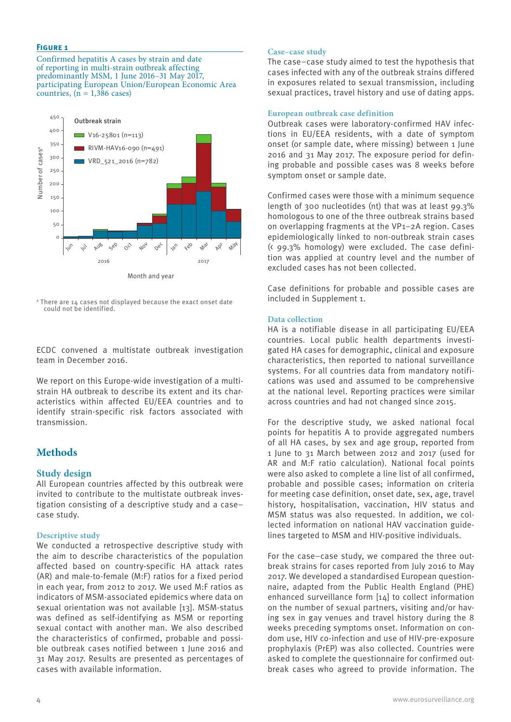#### **Figure 1**

Confirmed hepatitis A cases by strain and date of reporting in multi-strain outbreak affecting predominantly MSM, 1 June 2016–31 May 2017, participating European Union/European Economic Area countries,  $(n = 1,386 \text{ cases})$ 



a There are 14 cases not displayed because the exact onset date could not be identified.

ECDC convened a multistate outbreak investigation team in December 2016.

We report on this Europe-wide investigation of a multistrain HA outbreak to describe its extent and its characteristics within affected EU/EEA countries and to identify strain-specific risk factors associated with transmission.

# **Methods**

# **Study design**

All European countries affected by this outbreak were invited to contribute to the multistate outbreak investigation consisting of a descriptive study and a case– case study.

#### **Descriptive study**

We conducted a retrospective descriptive study with the aim to describe characteristics of the population affected based on country-specific HA attack rates (AR) and male-to-female (M:F) ratios for a fixed period in each year, from 2012 to 2017. We used M:F ratios as indicators of MSM-associated epidemics where data on sexual orientation was not available [13]. MSM-status was defined as self-identifying as MSM or reporting sexual contact with another man. We also described the characteristics of confirmed, probable and possible outbreak cases notified between 1 June 2016 and 31 May 2017. Results are presented as percentages of cases with available information.

#### **Case–case study**

The case–case study aimed to test the hypothesis that cases infected with any of the outbreak strains differed in exposures related to sexual transmission, including sexual practices, travel history and use of dating apps.

#### **European outbreak case definition**

Outbreak cases were laboratory-confirmed HAV infections in EU/EEA residents, with a date of symptom onset (or sample date, where missing) between 1 June 2016 and 31 May 2017. The exposure period for defining probable and possible cases was 8 weeks before symptom onset or sample date.

Confirmed cases were those with a minimum sequence length of 300 nucleotides (nt) that was at least 99.3% homologous to one of the three outbreak strains based on overlapping fragments at the VP1–2A region. Cases epidemiologically linked to non-outbreak strain cases (< 99.3% homology) were excluded. The case definition was applied at country level and the number of excluded cases has not been collected.

Case definitions for probable and possible cases are included in Supplement 1.

#### **Data collection**

HA is a notifiable disease in all participating EU/EEA countries. Local public health departments investigated HA cases for demographic, clinical and exposure characteristics, then reported to national surveillance systems. For all countries data from mandatory notifications was used and assumed to be comprehensive at the national level. Reporting practices were similar across countries and had not changed since 2015.

For the descriptive study, we asked national focal points for hepatitis A to provide aggregated numbers of all HA cases, by sex and age group, reported from 1 June to 31 March between 2012 and 2017 (used for AR and M:F ratio calculation). National focal points were also asked to complete a line list of all confirmed, probable and possible cases; information on criteria for meeting case definition, onset date, sex, age, travel history, hospitalisation, vaccination, HIV status and MSM status was also requested. In addition, we collected information on national HAV vaccination guidelines targeted to MSM and HIV-positive individuals.

For the case–case study, we compared the three outbreak strains for cases reported from July 2016 to May 2017. We developed a standardised European questionnaire, adapted from the Public Health England (PHE) enhanced surveillance form [14] to collect information on the number of sexual partners, visiting and/or having sex in gay venues and travel history during the 8 weeks preceding symptoms onset. Information on condom use, HIV co-infection and use of HIV-pre-exposure prophylaxis (PrEP) was also collected. Countries were asked to complete the questionnaire for confirmed outbreak cases who agreed to provide information. The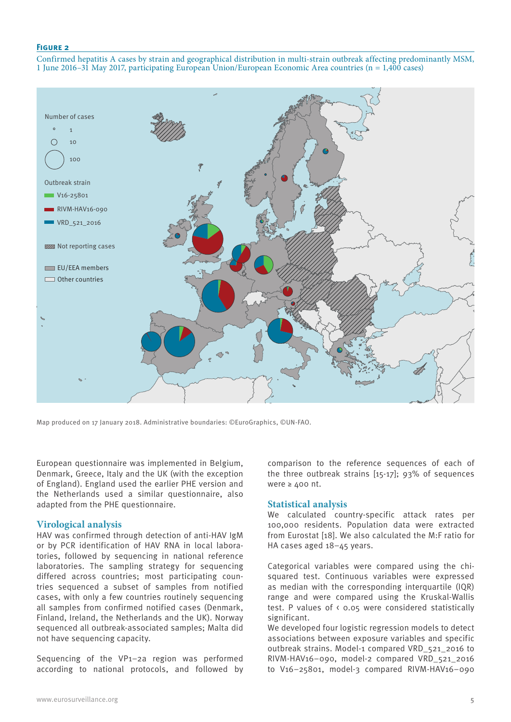#### **Figure 2**

Confirmed hepatitis A cases by strain and geographical distribution in multi-strain outbreak affecting predominantly MSM, 1 June 2016–31 May 2017, participating European Union/European Economic Area countries (n = 1,400 cases)



Map produced on 17 January 2018. Administrative boundaries: ©EuroGraphics, ©UN-FAO.

European questionnaire was implemented in Belgium, Denmark, Greece, Italy and the UK (with the exception of England). England used the earlier PHE version and the Netherlands used a similar questionnaire, also adapted from the PHE questionnaire.

#### **Virological analysis**

HAV was confirmed through detection of anti-HAV IgM or by PCR identification of HAV RNA in local laboratories, followed by sequencing in national reference laboratories. The sampling strategy for sequencing differed across countries; most participating countries sequenced a subset of samples from notified cases, with only a few countries routinely sequencing all samples from confirmed notified cases (Denmark, Finland, Ireland, the Netherlands and the UK). Norway sequenced all outbreak-associated samples; Malta did not have sequencing capacity.

Sequencing of the VP1–2a region was performed according to national protocols, and followed by comparison to the reference sequences of each of the three outbreak strains [15-17]; 93% of sequences were ≥ 400 nt.

#### **Statistical analysis**

We calculated country-specific attack rates per 100,000 residents. Population data were extracted from Eurostat [18]. We also calculated the M:F ratio for HA cases aged 18–45 years.

Categorical variables were compared using the chisquared test. Continuous variables were expressed as median with the corresponding interquartile (IOR) range and were compared using the Kruskal-Wallis test. P values of < 0.05 were considered statistically significant.

We developed four logistic regression models to detect associations between exposure variables and specific outbreak strains. Model-1 compared VRD\_521\_2016 to RIVM-HAV16–090, model-2 compared VRD\_521\_2016 to V16–25801, model-3 compared RIVM-HAV16–090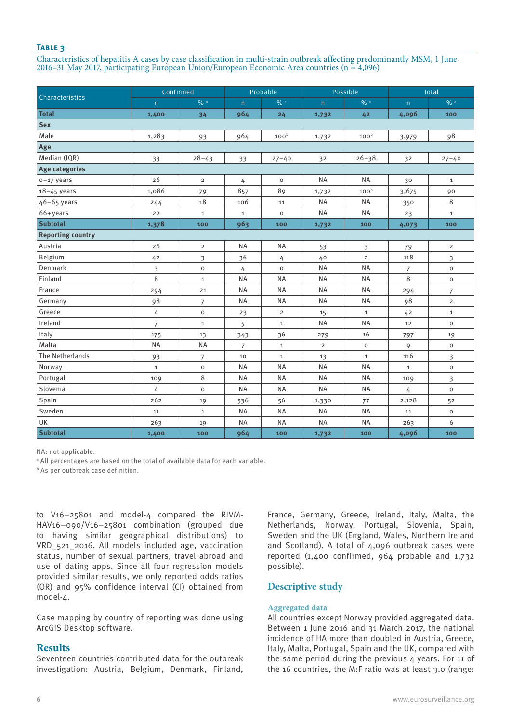# **Table 3**

Characteristics of hepatitis A cases by case classification in multi-strain outbreak affecting predominantly MSM, 1 June 2016–31 May 2017, participating European Union/European Economic Area countries (n = 4,096)

| Characteristics          | Confirmed      |                     | Probable       |                     |                | Possible            | <b>Total</b>   |                     |  |
|--------------------------|----------------|---------------------|----------------|---------------------|----------------|---------------------|----------------|---------------------|--|
|                          | n              | % a                 | n              | $\%$ a              | n              | $\%$ <sup>a</sup>   | n              | $\%$ a              |  |
| <b>Total</b>             | 1,400          | 34                  | 964            | 24                  | 1,732          | 42                  | 4,096          | 100                 |  |
| <b>Sex</b>               |                |                     |                |                     |                |                     |                |                     |  |
| Male                     | 1,283          | 93                  | 964            | 100 <sup>b</sup>    | 1,732          | 100 <sup>b</sup>    | 3,979          | 98                  |  |
| Age                      |                |                     |                |                     |                |                     |                |                     |  |
| Median (IQR)             | 33             | $28 - 43$           | 33             | $27 - 40$           | 32             | $26 - 38$           | 32             | $27 - 40$           |  |
| <b>Age categories</b>    |                |                     |                |                     |                |                     |                |                     |  |
| $0 - 17$ years           | 26             | $\overline{2}$      | 4              | $\mathsf{o}\xspace$ | <b>NA</b>      | <b>NA</b>           | 30             | $\mathbf{1}$        |  |
| $18 - 45$ years          | 1,086          | 79                  | 857            | 89                  | 1,732          | 100 <sup>b</sup>    | 3,675          | 90                  |  |
| $46 - 65$ years          | 244            | 18                  | 106            | 11                  | <b>NA</b>      | <b>NA</b>           | 350            | 8                   |  |
| 66+years                 | 22             | $\mathbf{1}$        | $\mathbf{1}$   | $\mathsf O$         | <b>NA</b>      | <b>NA</b>           | 23             | $\mathbf{1}$        |  |
| <b>Subtotal</b>          | 1,378          | 100                 | 963            | 100                 | 1,732          | 100                 | 4,073          | 100                 |  |
| <b>Reporting country</b> |                |                     |                |                     |                |                     |                |                     |  |
| Austria                  | 26             | $\overline{2}$      | <b>NA</b>      | <b>NA</b>           | 53             | 3                   | 79             | $\overline{2}$      |  |
| Belgium                  | 42             | 3                   | 36             | 4                   | 40             | $\overline{2}$      | 118            | 3                   |  |
| Denmark                  | 3              | $\mathsf{o}\xspace$ | 4              | $\mathsf{o}\xspace$ | <b>NA</b>      | <b>NA</b>           | $\overline{7}$ | $\mathsf{O}\xspace$ |  |
| Finland                  | 8              | $\mathbf 1$         | <b>NA</b>      | <b>NA</b>           | <b>NA</b>      | <b>NA</b>           | 8              | $\mathsf{O}\xspace$ |  |
| France                   | 294            | 21                  | <b>NA</b>      | <b>NA</b>           | <b>NA</b>      | <b>NA</b>           | 294            | $\overline{7}$      |  |
| Germany                  | 98             | $\overline{7}$      | <b>NA</b>      | <b>NA</b>           | <b>NA</b>      | <b>NA</b>           | 98             | $\overline{2}$      |  |
| Greece                   | 4              | $\mathsf O$         | 23             | $\overline{2}$      | 15             | $\mathbf{1}$        | 42             | $\mathbf{1}$        |  |
| Ireland                  | $\overline{7}$ | $\mathbf 1$         | 5              | $\mathbf{1}$        | <b>NA</b>      | <b>NA</b>           | 12             | $\mathsf{o}\xspace$ |  |
| Italy                    | 175            | 13                  | 343            | 36                  | 279            | 16                  | 797            | 19                  |  |
| Malta                    | <b>NA</b>      | <b>NA</b>           | $\overline{7}$ | $\mathbf{1}$        | $\overline{2}$ | $\mathsf{o}\xspace$ | 9              | $\mathsf{O}\xspace$ |  |
| The Netherlands          | 93             | $\overline{7}$      | 10             | $\mathbf{1}$        | 13             | $\mathbf{1}$        | 116            | 3                   |  |
| Norway                   | $\mathbf{1}$   | $\mathsf O$         | <b>NA</b>      | <b>NA</b>           | <b>NA</b>      | <b>NA</b>           | $\mathbf{1}$   | $\mathsf{o}\xspace$ |  |
| Portugal                 | 109            | 8                   | <b>NA</b>      | <b>NA</b>           | <b>NA</b>      | <b>NA</b>           | 109            | 3                   |  |
| Slovenia                 | 4              | $\mathsf{O}\xspace$ | <b>NA</b>      | <b>NA</b>           | <b>NA</b>      | <b>NA</b>           | 4              | $\mathsf{o}\xspace$ |  |
| Spain                    | 262            | 19                  | 536            | 56                  | 1,330          | 77                  | 2,128          | 52                  |  |
| Sweden                   | 11             | $\mathbf 1$         | <b>NA</b>      | <b>NA</b>           | <b>NA</b>      | <b>NA</b>           | 11             | $\mathsf{o}\xspace$ |  |
| UK                       | 263            | 19                  | <b>NA</b>      | <b>NA</b>           | <b>NA</b>      | <b>NA</b>           | 263            | 6                   |  |
| <b>Subtotal</b>          | 1,400          | 100                 | 964            | 100                 | 1,732          | 100                 | 4,096          | 100                 |  |

NA: not applicable.

a All percentages are based on the total of available data for each variable.

b As per outbreak case definition.

to V16–25801 and model-4 compared the RIVM-HAV16–090/V16–25801 combination (grouped due to having similar geographical distributions) to VRD\_521\_2016. All models included age, vaccination status, number of sexual partners, travel abroad and use of dating apps. Since all four regression models provided similar results, we only reported odds ratios (OR) and 95% confidence interval (CI) obtained from model-4.

Case mapping by country of reporting was done using ArcGIS Desktop software.

# **Results**

Seventeen countries contributed data for the outbreak investigation: Austria, Belgium, Denmark, Finland, France, Germany, Greece, Ireland, Italy, Malta, the Netherlands, Norway, Portugal, Slovenia, Spain, Sweden and the UK (England, Wales, Northern Ireland and Scotland). A total of 4,096 outbreak cases were reported (1,400 confirmed, 964 probable and 1,732 possible).

# **Descriptive study**

#### **Aggregated data**

All countries except Norway provided aggregated data. Between 1 June 2016 and 31 March 2017, the national incidence of HA more than doubled in Austria, Greece, Italy, Malta, Portugal, Spain and the UK, compared with the same period during the previous  $4$  years. For 11 of the 16 countries, the M:F ratio was at least 3.0 (range: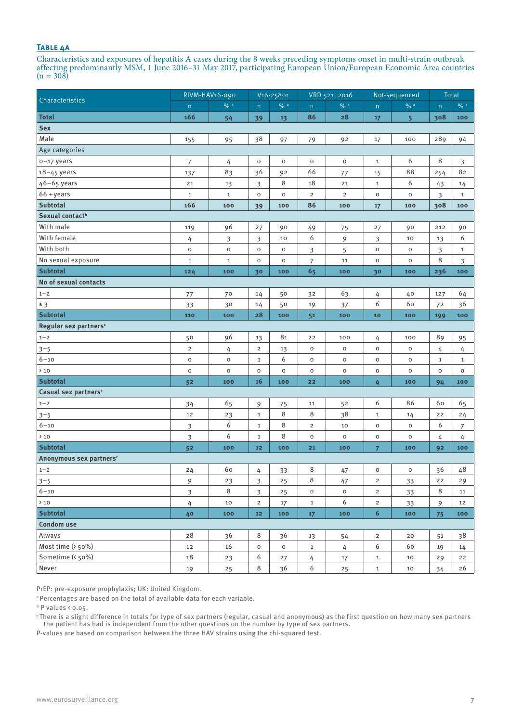### **Table 4a**

Characteristics and exposures of hepatitis A cases during the 8 weeks preceding symptoms onset in multi-strain outbreak affecting predominantly MSM, 1 June 2016–31 May 2017, participating European Union/European Economic Area countries  $(n = 308)$ 

|                                     | RIVM-HAV16-090 |              | V <sub>16</sub> -25801  |                     | VRD 521_2016        |                     | Not-sequenced       |                     | Total       |                |
|-------------------------------------|----------------|--------------|-------------------------|---------------------|---------------------|---------------------|---------------------|---------------------|-------------|----------------|
| Characteristics                     | n              | % a          | n                       | $\%$ a              | n                   | % a                 | $\mathsf{n}$        | % a                 | n           | % a            |
| <b>Total</b>                        | 166            | 54           | 39                      | 13                  | 86                  | 28                  | 17                  | 5                   | 308         | 100            |
| <b>Sex</b>                          |                |              |                         |                     |                     |                     |                     |                     |             |                |
| Male                                | 155            | 95           | 38                      | 97                  | 79                  | 92                  | 17                  | 100                 | 289         | 94             |
| Age categories                      |                |              |                         |                     |                     |                     |                     |                     |             |                |
| $0 - 17$ years                      | $\overline{7}$ | 4            | $\mathsf O$             | $\mathsf O$         | $\mathsf O$         | $\mathsf{O}\xspace$ | $\mathbf{1}$        | 6                   | 8           | 3              |
| $18 - 45$ years                     | 137            | 83           | 36                      | 92                  | 66                  | 77                  | 15                  | 88                  | 254         | 82             |
| $46 - 65$ years                     | 21             | 13           | 3                       | 8                   | 18                  | 21                  | $\mathbf 1$         | 6                   | 43          | 14             |
| $66 + years$                        | $\mathbf 1$    | $\mathbf{1}$ | $\mathsf{O}\xspace$     | $\mathsf O$         | $\overline{2}$      | $\overline{a}$      | $\mathsf{O}\xspace$ | $\mathsf{O}\xspace$ | 3           | $\mathbf{1}$   |
| <b>Subtotal</b>                     | 166            | 100          | 39                      | 100                 | 86                  | 100                 | 17                  | 100                 | 308         | 100            |
| Sexual contact <sup>b</sup>         |                |              |                         |                     |                     |                     |                     |                     |             |                |
| With male                           | 119            | 96           | 27                      | 90                  | 49                  | 75                  | 27                  | 90                  | 212         | 90             |
| With female                         | 4              | 3            | 3                       | 10                  | 6                   | 9                   | 3                   | 10                  | 13          | 6              |
| With both                           | o              | $\mathsf O$  | $\mathsf O$             | $\mathsf O$         | 3                   | 5                   | $\mathsf{O}\xspace$ | $\mathsf O$         | 3           | $\mathbf{1}$   |
| No sexual exposure                  | $\mathbf{1}$   | $\mathbf{1}$ | $\mathsf{o}$            | $\mathsf O$         | $\overline{7}$      | 11                  | $\mathsf{O}\xspace$ | $\mathsf O$         | 8           | 3              |
| <b>Subtotal</b>                     | 124            | 100          | 30                      | 100                 | 65                  | 100                 | 30                  | 100                 | 236         | 100            |
| No of sexual contacts               |                |              |                         |                     |                     |                     |                     |                     |             |                |
| $1 - 2$                             | 77             | 70           | 14                      | 50                  | 32                  | 63                  | 4                   | 40                  | 127         | 64             |
| $\geq 3$                            | 33             | 30           | 14                      | 50                  | 19                  | 37                  | 6                   | 60                  | 72          | 36             |
| <b>Subtotal</b>                     | 110            | 100          | 28                      | 100                 | 51                  | 100                 | 10                  | 100                 | 199         | 100            |
| Regular sex partners <sup>c</sup>   |                |              |                         |                     |                     |                     |                     |                     |             |                |
| $1 - 2$                             | 50             | 96           | 13                      | 81                  | 22                  | 100                 | 4                   | 100                 | 89          | 95             |
| $3 - 5$                             | $\overline{a}$ | 4            | $\overline{2}$          | 13                  | $\mathsf{o}$        | $\mathsf O$         | $\mathsf{O}\xspace$ | $\mathsf O$         | 4           | 4              |
| $6 - 10$                            | 0              | $\mathsf O$  | $\mathbf 1$             | 6                   | $\mathsf{O}\xspace$ | 0                   | $\mathsf{O}\xspace$ | $\mathsf O$         | $\mathbf 1$ | $\mathbf{1}$   |
| $\rightarrow$ 10                    | 0              | $\mathsf O$  | $\mathsf{O}\xspace$     | $\mathsf{O}\xspace$ | $\mathsf O$         | $\mathsf O$         | $\mathsf{O}\xspace$ | $\mathsf O$         | $\mathsf O$ | 0              |
| <b>Subtotal</b>                     | 52             | 100          | 16                      | 100                 | 22                  | 100                 | 4                   | 100                 | 94          | 100            |
| Casual sex partners <sup>c</sup>    |                |              |                         |                     |                     |                     |                     |                     |             |                |
| $1 - 2$                             | 34             | 65           | 9                       | 75                  | 11                  | 52                  | 6                   | 86                  | 60          | 65             |
| $3 - 5$                             | 12             | 23           | $\mathbf{1}$            | 8                   | 8                   | 38                  | $\mathbf{1}$        | 14                  | 22          | 24             |
| $6 - 10$                            | 3              | 6            | $\mathbf{1}$            | 8                   | $\overline{2}$      | 10                  | $\mathsf{O}\xspace$ | $\mathsf O$         | 6           | $\overline{7}$ |
| $\rightarrow$ 10                    | 3              | 6            | $\mathbf 1$             | 8                   | $\mathsf{O}\xspace$ | $\mathsf O$         | $\mathsf{O}\xspace$ | O                   | 4           | 4              |
| <b>Subtotal</b>                     | 5 <sup>2</sup> | 100          | $12$                    | 100                 | 21                  | 100                 | $\overline{7}$      | 100                 | 92          | 100            |
| Anonymous sex partners <sup>c</sup> |                |              |                         |                     |                     |                     |                     |                     |             |                |
| $1 - 2$                             | 24             | 60           | 4                       | 33                  | 8                   | 47                  | $\mathsf{O}\xspace$ | $\mathsf O$         | 36          | 48             |
| $3 - 5$                             | 9              | 23           | $\mathbf{3}$            | 25                  | 8                   | 47                  | $\overline{2}$      | 33                  | 22          | 29             |
| $6 - 10$                            | $\mathbf{3}$   | 8            | $\overline{\mathbf{3}}$ | 25                  | $\mathsf{O}\xspace$ | $\mathsf O$         | $\overline{2}$      | 33                  | 8           | 11             |
| >10                                 | $\overline{4}$ | 10           | $\overline{2}$          | $17\,$              | $\mathbf{1}$        | 6                   | $\overline{2}$      | 33                  | 9           | 12             |
| <b>Subtotal</b>                     | 40             | 100          | $121$                   | 100                 | 17 <sup>1</sup>     | 100                 | 6 <sup>1</sup>      | 100                 | 75          | 100            |
| <b>Condom use</b>                   |                |              |                         |                     |                     |                     |                     |                     |             |                |
| Always                              | 28             | 36           | 8                       | 36                  | 13                  | 54                  | $\overline{2}$      | 20                  | 51          | 38             |
| Most time $($ > 50%)                | 12             | 16           | 0                       | $\mathsf{O}\xspace$ | $\mathbf{1}$        | 4                   | 6                   | 60                  | 19          | 14             |
| Sometime (< 50%)                    | 18             | 23           | 6                       | 27                  | $4 -$               | $17 \overline{ }$   | $\mathbf{1}$        | 10                  | 29          | 22             |
| Never                               | 19             | 25           | 8                       | 36                  | 6                   | 25                  | $\mathbf{1}$        | 10                  | 34          | 26             |

PrEP: pre-exposure prophylaxis; UK: United Kingdom.

a Percentages are based on the total of available data for each variable.

b P values < 0.05.

c There is a slight difference in totals for type of sex partners (regular, casual and anonymous) as the first question on how many sex partners the patient has had is independent from the other questions on the number by type of sex partners.

P-values are based on comparison between the three HAV strains using the chi-squared test.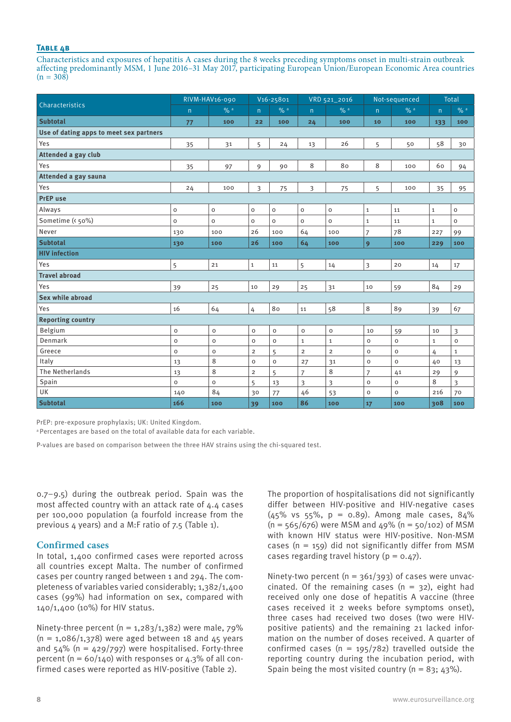# **Table 4b**

Characteristics and exposures of hepatitis A cases during the 8 weeks preceding symptoms onset in multi-strain outbreak affecting predominantly MSM, 1 June 2016–31 May 2017, participating European Union/European Economic Area countries  $(n = 308)$ 

|                                         | RIVM-HAV16-090      |                     | V <sub>16</sub> -25801 |                     | VRD 521_2016            |                         | Not-sequenced  |             | Total        |                |
|-----------------------------------------|---------------------|---------------------|------------------------|---------------------|-------------------------|-------------------------|----------------|-------------|--------------|----------------|
| Characteristics                         | n                   | % a                 | n                      | % a                 | n                       | % a                     | n              | % a         | n            | % a            |
| <b>Subtotal</b>                         | 77                  | 100                 | 22                     | 100                 | 24                      | 100                     | 10             | 100         | 133          | 100            |
| Use of dating apps to meet sex partners |                     |                     |                        |                     |                         |                         |                |             |              |                |
| Yes                                     | 35                  | 31                  | 5                      | 24                  | 13                      | 26                      | 5              | 50          | 58           | 30             |
| Attended a gay club                     |                     |                     |                        |                     |                         |                         |                |             |              |                |
| Yes                                     | 35                  | 97                  | 9                      | 90                  | 8                       | 80                      | 8              | 100         | 60           | 94             |
| Attended a gay sauna                    |                     |                     |                        |                     |                         |                         |                |             |              |                |
| Yes                                     | 24                  | 100                 | 3                      | 75                  | $\overline{\mathbf{3}}$ | 75                      | 5              | 100         | 35           | 95             |
| <b>PrEP</b> use                         |                     |                     |                        |                     |                         |                         |                |             |              |                |
| Always                                  | $\mathsf O$         | $\mathsf O$         | $\mathsf O$            | $\circ$             | $\mathsf O$             | 0                       | $\mathbf 1$    | 11          | $\mathbf 1$  | $\mathsf O$    |
| Sometime (< 50%)                        | $\circ$             | $\mathbf{o}$        | $\circ$                | $\circ$             | $\circ$                 | $\mathsf{o}$            | $\mathbf{1}$   | 11          | $\mathbf{1}$ | $\circ$        |
| Never                                   | 130                 | 100                 | 26                     | 100                 | 64                      | 100                     | $\overline{7}$ | 78          | 227          | 99             |
| <b>Subtotal</b>                         | 130                 | 100                 | 26                     | 100                 | 64                      | 100                     | 9              | 100         | 229          | 100            |
| <b>HIV infection</b>                    |                     |                     |                        |                     |                         |                         |                |             |              |                |
| Yes                                     | 5                   | 21                  | $\mathbf{1}$           | 11                  | 5                       | 14                      | 3              | 20          | $14$         | 17             |
| <b>Travel abroad</b>                    |                     |                     |                        |                     |                         |                         |                |             |              |                |
| Yes                                     | 39                  | 25                  | 10                     | 29                  | 25                      | 31                      | 10             | 59          | $84\,$       | 29             |
| Sex while abroad                        |                     |                     |                        |                     |                         |                         |                |             |              |                |
| Yes                                     | 16                  | 64                  | 4                      | 80                  | 11                      | 58                      | 8              | 89          | 39           | 67             |
| <b>Reporting country</b>                |                     |                     |                        |                     |                         |                         |                |             |              |                |
| Belgium                                 | $\mathsf{o}\xspace$ | $\mathsf{o}\xspace$ | 0                      | $\mathsf{o}\xspace$ | $\mathsf{o}$            | $\mathsf{o}\xspace$     | 10             | 59          | 10           | 3              |
| Denmark                                 | $\mathsf{o}$        | $\mathsf{o}\xspace$ | $\circ$                | $\circ$             | $\mathbf{1}$            | $\mathbf{1}$            | $\circ$        | $\circ$     | $\mathbf{1}$ | $\mathsf{o}$   |
| Greece                                  | $\circ$             | $\circ$             | $\overline{2}$         | 5                   | $\overline{2}$          | $\overline{2}$          | $\circ$        | $\circ$     | 4            | $\mathbf{1}$   |
| Italy                                   | 13                  | 8                   | O                      | $\mathsf{o}$        | 27                      | 31                      | $\mathsf{o}$   | $\circ$     | 40           | 13             |
| The Netherlands                         | 13                  | 8                   | $\overline{2}$         | 5                   | $\overline{7}$          | 8                       | $\overline{7}$ | 41          | 29           | 9              |
| Spain                                   | $\mathsf{o}$        | $\mathbf 0$         | 5                      | 13                  | 3                       | $\overline{\mathbf{3}}$ | $\mathsf O$    | $\mathsf O$ | 8            | $\overline{3}$ |
| UK                                      | 140                 | 84                  | 30                     | 77                  | 46                      | 53                      | $\circ$        | $\circ$     | 216          | 70             |
| <b>Subtotal</b>                         | 166                 | 100                 | 39                     | 100                 | 86                      | 100                     | 17             | 100         | 308          | 100            |

PrEP: pre-exposure prophylaxis; UK: United Kingdom.

a Percentages are based on the total of available data for each variable.

P-values are based on comparison between the three HAV strains using the chi-squared test.

0.7–9.5) during the outbreak period. Spain was the most affected country with an attack rate of  $4.4$  cases per 100,000 population (a fourfold increase from the previous 4 years) and a M:F ratio of 7.5 (Table 1).

#### **Confirmed cases**

In total, 1,400 confirmed cases were reported across all countries except Malta. The number of confirmed cases per country ranged between 1 and 294. The completeness of variables varied considerably; 1,382/1,400 cases (99%) had information on sex, compared with 140/1,400 (10%) for HIV status.

Ninety-three percent ( $n = 1.283/1.382$ ) were male, 79%  $(n = 1,086/1,378)$  were aged between 18 and 45 years and  $54\%$  (n =  $429/797$ ) were hospitalised. Forty-three percent ( $n = 60/140$ ) with responses or 4.3% of all confirmed cases were reported as HIV-positive (Table 2).

The proportion of hospitalisations did not significantly differ between HIV-positive and HIV-negative cases  $(45\% \text{ vs } 55\%, \text{ p} = 0.89)$ . Among male cases,  $84\%$  $(n = 565/676)$  were MSM and  $49\%$   $(n = 50/102)$  of MSM with known HIV status were HIV-positive. Non-MSM cases ( $n = 159$ ) did not significantly differ from MSM cases regarding travel history ( $p = 0.47$ ).

Ninety-two percent ( $n = 361/393$ ) of cases were unvaccinated. Of the remaining cases  $(n = 32)$ , eight had received only one dose of hepatitis A vaccine (three cases received it 2 weeks before symptoms onset), three cases had received two doses (two were HIVpositive patients) and the remaining 21 lacked information on the number of doses received. A quarter of confirmed cases ( $n = 195/782$ ) travelled outside the reporting country during the incubation period, with Spain being the most visited country ( $n = 83$ ; 43%).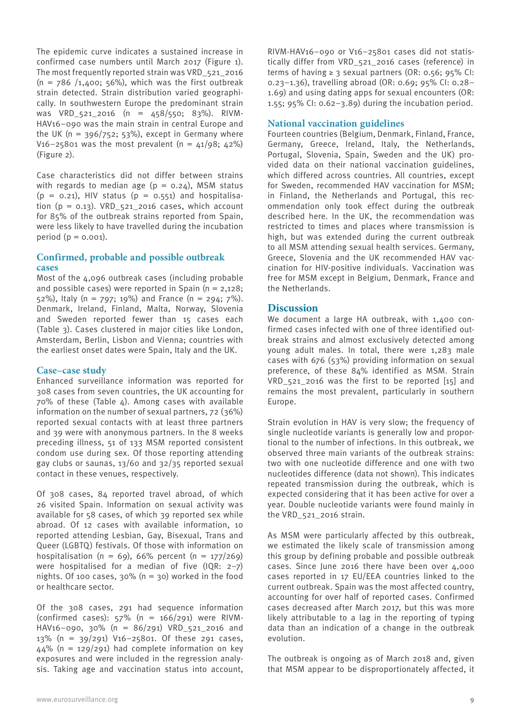The epidemic curve indicates a sustained increase in confirmed case numbers until March 2017 (Figure 1). The most frequently reported strain was VRD\_521\_2016  $(n = 786 / 1,400; 56%)$ , which was the first outbreak strain detected. Strain distribution varied geographically. In southwestern Europe the predominant strain was VRD\_521\_2016 (n = 458/550; 83%). RIVM-HAV16–090 was the main strain in central Europe and the UK ( $n = 396/752$ ; 53%), except in Germany where V<sub>16</sub>–25801 was the most prevalent (n =  $41/98$ ;  $42\%$ ) (Figure 2).

Case characteristics did not differ between strains with regards to median age  $(p = 0.24)$ , MSM status  $(p = 0.21)$ , HIV status  $(p = 0.551)$  and hospitalisation ( $p = 0.13$ ). VRD\_521\_2016 cases, which account for 85% of the outbreak strains reported from Spain, were less likely to have travelled during the incubation period  $(p = 0.001)$ .

# **Confirmed, probable and possible outbreak cases**

Most of the 4,096 outbreak cases (including probable and possible cases) were reported in Spain ( $n = 2,128$ ; 52%), Italy (n =  $797; 19\%$ ) and France (n =  $294; 7\%$ ). Denmark, Ireland, Finland, Malta, Norway, Slovenia and Sweden reported fewer than 15 cases each (Table 3). Cases clustered in major cities like London, Amsterdam, Berlin, Lisbon and Vienna; countries with the earliest onset dates were Spain, Italy and the UK.

# **Case–case study**

Enhanced surveillance information was reported for 308 cases from seven countries, the UK accounting for  $70\%$  of these (Table 4). Among cases with available information on the number of sexual partners, 72 (36%) reported sexual contacts with at least three partners and 39 were with anonymous partners. In the 8 weeks preceding illness, 51 of 133 MSM reported consistent condom use during sex. Of those reporting attending gay clubs or saunas, 13/60 and 32/35 reported sexual contact in these venues, respectively.

Of 308 cases, 84 reported travel abroad, of which 26 visited Spain. Information on sexual activity was available for 58 cases, of which 39 reported sex while abroad. Of 12 cases with available information, 10 reported attending Lesbian, Gay, Bisexual, Trans and Queer (LGBTQ) festivals. Of those with information on hospitalisation (n =  $69$ ),  $66\%$  percent (n =  $177/269$ ) were hospitalised for a median of five (IQR: 2–7) nights. Of 100 cases, 30% ( $n = 30$ ) worked in the food or healthcare sector.

Of the 308 cases, 291 had sequence information (confirmed cases):  $57\%$  (n =  $166/291$ ) were RIVM-HAV<sub>16</sub>-090, 30% (n =  $86/291$ ) VRD 521 2016 and 13% (n = 39/291) V16–25801. Of these 291 cases,  $44\%$  (n = 129/291) had complete information on key exposures and were included in the regression analysis. Taking age and vaccination status into account, RIVM-HAV16–090 or V16–25801 cases did not statistically differ from VRD\_521\_2016 cases (reference) in terms of having  $\geq 3$  sexual partners (OR: 0.56; 95% CI: 0.23–1.36), travelling abroad (OR: 0.69; 95% CI: 0.28– 1.69) and using dating apps for sexual encounters (OR: 1.55; 95% CI: 0.62–3.89) during the incubation period.

#### **National vaccination guidelines**

Fourteen countries (Belgium, Denmark, Finland, France, Germany, Greece, Ireland, Italy, the Netherlands, Portugal, Slovenia, Spain, Sweden and the UK) provided data on their national vaccination guidelines, which differed across countries. All countries, except for Sweden, recommended HAV vaccination for MSM; in Finland, the Netherlands and Portugal, this recommendation only took effect during the outbreak described here. In the UK, the recommendation was restricted to times and places where transmission is high, but was extended during the current outbreak to all MSM attending sexual health services. Germany, Greece, Slovenia and the UK recommended HAV vaccination for HIV-positive individuals. Vaccination was free for MSM except in Belgium, Denmark, France and the Netherlands.

# **Discussion**

We document a large HA outbreak, with 1,400 confirmed cases infected with one of three identified outbreak strains and almost exclusively detected among young adult males. In total, there were 1,283 male cases with 676 (53%) providing information on sexual preference, of these 84% identified as MSM. Strain VRD  $521$  2016 was the first to be reported  $[15]$  and remains the most prevalent, particularly in southern Europe.

Strain evolution in HAV is very slow; the frequency of single nucleotide variants is generally low and proportional to the number of infections. In this outbreak, we observed three main variants of the outbreak strains: two with one nucleotide difference and one with two nucleotides difference (data not shown). This indicates repeated transmission during the outbreak, which is expected considering that it has been active for over a year. Double nucleotide variants were found mainly in the VRD\_521\_2016 strain.

As MSM were particularly affected by this outbreak, we estimated the likely scale of transmission among this group by defining probable and possible outbreak cases. Since June 2016 there have been over 4,000 cases reported in 17 EU/EEA countries linked to the current outbreak. Spain was the most affected country, accounting for over half of reported cases. Confirmed cases decreased after March 2017, but this was more likely attributable to a lag in the reporting of typing data than an indication of a change in the outbreak evolution.

The outbreak is ongoing as of March 2018 and, given that MSM appear to be disproportionately affected, it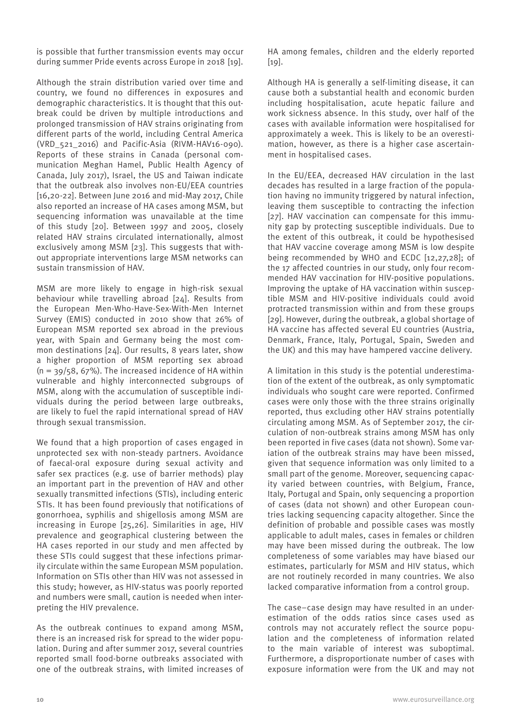is possible that further transmission events may occur during summer Pride events across Europe in 2018 [19].

Although the strain distribution varied over time and country, we found no differences in exposures and demographic characteristics. It is thought that this outbreak could be driven by multiple introductions and prolonged transmission of HAV strains originating from different parts of the world, including Central America (VRD\_521\_2016) and Pacific-Asia (RIVM-HAV16-090). Reports of these strains in Canada (personal communication Meghan Hamel, Public Health Agency of Canada, July 2017), Israel, the US and Taiwan indicate that the outbreak also involves non-EU/EEA countries [16,20-22]. Between June 2016 and mid-May 2017, Chile also reported an increase of HA cases among MSM, but sequencing information was unavailable at the time of this study [20]. Between 1997 and 2005, closely related HAV strains circulated internationally, almost exclusively among MSM [23]. This suggests that without appropriate interventions large MSM networks can sustain transmission of HAV.

MSM are more likely to engage in high-risk sexual behaviour while travelling abroad [24]. Results from the European Men-Who-Have-Sex-With-Men Internet Survey (EMIS) conducted in 2010 show that 26% of European MSM reported sex abroad in the previous year, with Spain and Germany being the most common destinations [24]. Our results, 8 years later, show a higher proportion of MSM reporting sex abroad  $(n = 39/58, 67%)$ . The increased incidence of HA within vulnerable and highly interconnected subgroups of MSM, along with the accumulation of susceptible individuals during the period between large outbreaks, are likely to fuel the rapid international spread of HAV through sexual transmission.

We found that a high proportion of cases engaged in unprotected sex with non-steady partners. Avoidance of faecal-oral exposure during sexual activity and safer sex practices (e.g. use of barrier methods) play an important part in the prevention of HAV and other sexually transmitted infections (STIs), including enteric STIs. It has been found previously that notifications of gonorrhoea, syphilis and shigellosis among MSM are increasing in Europe [25,26]. Similarities in age, HIV prevalence and geographical clustering between the HA cases reported in our study and men affected by these STIs could suggest that these infections primarily circulate within the same European MSM population. Information on STIs other than HIV was not assessed in this study; however, as HIV-status was poorly reported and numbers were small, caution is needed when interpreting the HIV prevalence.

As the outbreak continues to expand among MSM, there is an increased risk for spread to the wider population. During and after summer 2017, several countries reported small food-borne outbreaks associated with one of the outbreak strains, with limited increases of HA among females, children and the elderly reported  $[19]$ .

Although HA is generally a self-limiting disease, it can cause both a substantial health and economic burden including hospitalisation, acute hepatic failure and work sickness absence. In this study, over half of the cases with available information were hospitalised for approximately a week. This is likely to be an overestimation, however, as there is a higher case ascertainment in hospitalised cases.

In the EU/EEA, decreased HAV circulation in the last decades has resulted in a large fraction of the population having no immunity triggered by natural infection, leaving them susceptible to contracting the infection [27]. HAV vaccination can compensate for this immunity gap by protecting susceptible individuals. Due to the extent of this outbreak, it could be hypothesised that HAV vaccine coverage among MSM is low despite being recommended by WHO and ECDC [12,27,28]; of the 17 affected countries in our study, only four recommended HAV vaccination for HIV-positive populations. Improving the uptake of HA vaccination within susceptible MSM and HIV-positive individuals could avoid protracted transmission within and from these groups [29]. However, during the outbreak, a global shortage of HA vaccine has affected several EU countries (Austria, Denmark, France, Italy, Portugal, Spain, Sweden and the UK) and this may have hampered vaccine delivery.

A limitation in this study is the potential underestimation of the extent of the outbreak, as only symptomatic individuals who sought care were reported. Confirmed cases were only those with the three strains originally reported, thus excluding other HAV strains potentially circulating among MSM. As of September 2017, the circulation of non-outbreak strains among MSM has only been reported in five cases (data not shown). Some variation of the outbreak strains may have been missed, given that sequence information was only limited to a small part of the genome. Moreover, sequencing capacity varied between countries, with Belgium, France, Italy, Portugal and Spain, only sequencing a proportion of cases (data not shown) and other European countries lacking sequencing capacity altogether. Since the definition of probable and possible cases was mostly applicable to adult males, cases in females or children may have been missed during the outbreak. The low completeness of some variables may have biased our estimates, particularly for MSM and HIV status, which are not routinely recorded in many countries. We also lacked comparative information from a control group.

The case–case design may have resulted in an underestimation of the odds ratios since cases used as controls may not accurately reflect the source population and the completeness of information related to the main variable of interest was suboptimal. Furthermore, a disproportionate number of cases with exposure information were from the UK and may not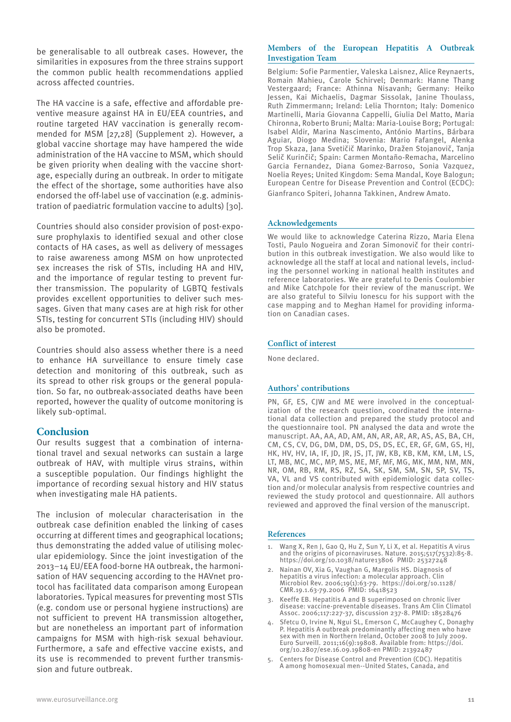be generalisable to all outbreak cases. However, the similarities in exposures from the three strains support the common public health recommendations applied across affected countries.

The HA vaccine is a safe, effective and affordable preventive measure against HA in EU/EEA countries, and routine targeted HAV vaccination is generally recommended for MSM [27,28] (Supplement 2). However, a global vaccine shortage may have hampered the wide administration of the HA vaccine to MSM, which should be given priority when dealing with the vaccine shortage, especially during an outbreak. In order to mitigate the effect of the shortage, some authorities have also endorsed the off-label use of vaccination (e.g. administration of paediatric formulation vaccine to adults) [30].

Countries should also consider provision of post-exposure prophylaxis to identified sexual and other close contacts of HA cases, as well as delivery of messages to raise awareness among MSM on how unprotected sex increases the risk of STIs, including HA and HIV, and the importance of regular testing to prevent further transmission. The popularity of LGBTQ festivals provides excellent opportunities to deliver such messages. Given that many cases are at high risk for other STIs, testing for concurrent STIs (including HIV) should also be promoted.

Countries should also assess whether there is a need to enhance HA surveillance to ensure timely case detection and monitoring of this outbreak, such as its spread to other risk groups or the general population. So far, no outbreak-associated deaths have been reported, however the quality of outcome monitoring is likely sub-optimal.

# **Conclusion**

Our results suggest that a combination of international travel and sexual networks can sustain a large outbreak of HAV, with multiple virus strains, within a susceptible population. Our findings highlight the importance of recording sexual history and HIV status when investigating male HA patients.

The inclusion of molecular characterisation in the outbreak case definition enabled the linking of cases occurring at different times and geographical locations; thus demonstrating the added value of utilising molecular epidemiology. Since the joint investigation of the 2013–14 EU/EEA food-borne HA outbreak, the harmonisation of HAV sequencing according to the HAVnet protocol has facilitated data comparison among European laboratories. Typical measures for preventing most STIs (e.g. condom use or personal hygiene instructions) are not sufficient to prevent HA transmission altogether, but are nonetheless an important part of information campaigns for MSM with high-risk sexual behaviour. Furthermore, a safe and effective vaccine exists, and its use is recommended to prevent further transmission and future outbreak.

#### **Members of the European Hepatitis A Outbreak Investigation Team**

Belgium: Sofie Parmentier, Valeska Laisnez, Alice Reynaerts, Romain Mahieu, Carole Schirvel; Denmark: Hanne Thang Vestergaard; France: Athinna Nisavanh; Germany: Heiko Jessen, Kai Michaelis, Dagmar Sissolak, Janine Thoulass, Ruth Zimmermann; Ireland: Lelia Thornton; Italy: Domenico Martinelli, Maria Giovanna Cappelli, Giulia Del Matto, Maria Chironna, Roberto Bruni; Malta: Maria-Louise Borg; Portugal: Isabel Aldir, Marina Nascimento, António Martins, Bárbara Aguiar, Diogo Medina; Slovenia: Mario Fafangel, Alenka Trop Skaza, Jana Svetičič Marinko, Dražen Stojanovič, Tanja Selič Kurinčič; Spain: Carmen Montaño-Remacha, Marcelino Garcia Fernandez, Diana Gomez-Barroso, Sonia Vazquez, Noelia Reyes; United Kingdom: Sema Mandal, Koye Balogun; European Centre for Disease Prevention and Control (ECDC): Gianfranco Spiteri, Johanna Takkinen, Andrew Amato.

#### **Acknowledgements**

We would like to acknowledge Caterina Rizzo, Maria Elena Tosti, Paulo Nogueira and Zoran Simonovič for their contribution in this outbreak investigation. We also would like to acknowledge all the staff at local and national levels, including the personnel working in national health institutes and reference laboratories. We are grateful to Denis Coulombier and Mike Catchpole for their review of the manuscript. We are also grateful to Silviu Ionescu for his support with the case mapping and to Meghan Hamel for providing information on Canadian cases.

#### **Conflict of interest**

None declared.

# **Authors' contributions**

PN, GF, ES, CJW and ME were involved in the conceptualization of the research question, coordinated the international data collection and prepared the study protocol and the questionnaire tool. PN analysed the data and wrote the manuscript. AA, AA, AD, AM, AN, AR, AR, AR, AS, AS, BA, CH, CM, CS, CV, DG, DM, DM, DS, DS, DS, EC, ER, GF, GM, GS, HJ, HK, HV, HV, IA, IF, JD, JR, JS, JT, JW, KB, KB, KM, KM, LM, LS, LT, MB, MC, MC, MP, MS, ME, MF, MF, MG, MK, MM, NM, MN, NR, OM, RB, RM, RS, RZ, SA, SK, SM, SM, SN, SP, SV, TS, VA, VL and VS contributed with epidemiologic data collection and/or molecular analysis from respective countries and reviewed the study protocol and questionnaire. All authors reviewed and approved the final version of the manuscript.

#### **References**

- 1. Wang X, Ren J, Gao Q, Hu Z, Sun Y, Li X, et al. Hepatitis A virus and the origins of picornaviruses. Nature. 2015;517(7532):85-8. https://doi.org/10.1038/nature13806 PMID: 25327248
- 2. Nainan OV, Xia G, Vaughan G, Margolis HS. Diagnosis of hepatitis a virus infection: a molecular approach. Clin Microbiol Rev. 2006;19(1):63-79. https://doi.org/10.1128/ CMR.19.1.63-79.2006 PMID: 16418523
- 3. Keeffe EB. Hepatitis A and B superimposed on chronic liver disease: vaccine-preventable diseases. Trans Am Clin Climatol Assoc. 2006;117:227-37, discussion 237-8. PMID: 18528476
- 4. Sfetcu O, Irvine N, Ngui SL, Emerson C, McCaughey C, Donaghy P. Hepatitis A outbreak predominantly affecting men who have sex with men in Northern Ireland, October 2008 to July 2009. Euro Surveill. 2011;16(9):19808. Available from: https://doi. org/10.2807/ese.16.09.19808-en PMID: 21392487
- 5. Centers for Disease Control and Prevention (CDC). Hepatitis A among homosexual men--United States, Canada, and